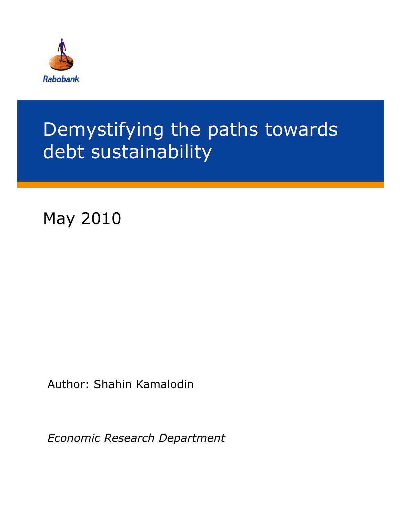

# Demystifying the paths towards debt sustainability

May 2010

Author: Shahin Kamalodin

*Economic Research Department*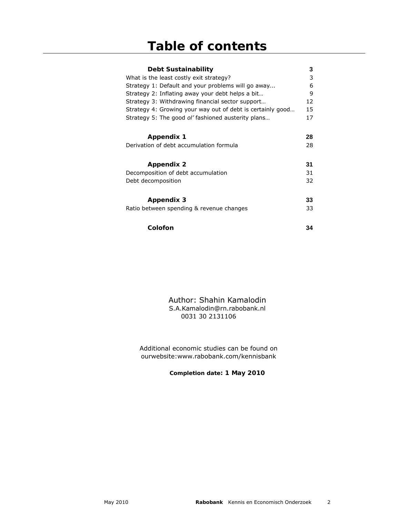| Debt Sustainability                                        | 3  |
|------------------------------------------------------------|----|
| What is the least costly exit strategy?                    | 3  |
| Strategy 1: Default and your problems will go away         | 6  |
| Strategy 2: Inflating away your debt helps a bit           | 9  |
| Strategy 3: Withdrawing financial sector support           | 12 |
| Strategy 4: Growing your way out of debt is certainly good | 15 |
| Strategy 5: The good ol' fashioned austerity plans         | 17 |
|                                                            |    |
| Appendix 1                                                 | 28 |
|                                                            |    |
| Derivation of debt accumulation formula                    | 28 |
|                                                            |    |
| <b>Appendix 2</b>                                          | 31 |
| Decomposition of debt accumulation                         | 31 |
| Debt decomposition                                         | 32 |
|                                                            |    |
| Appendix 3                                                 | 33 |
|                                                            |    |
| Ratio between spending & revenue changes                   | 33 |
|                                                            |    |
| Colofon                                                    | 34 |

Author: Shahin Kamalodin S.A.Kamalodin@rn.rabobank.nl 0031 30 2131106

Additional economic studies can be found on ourwebsite:www.rabobank.com/kennisbank

**Completion date: 1 May 2010**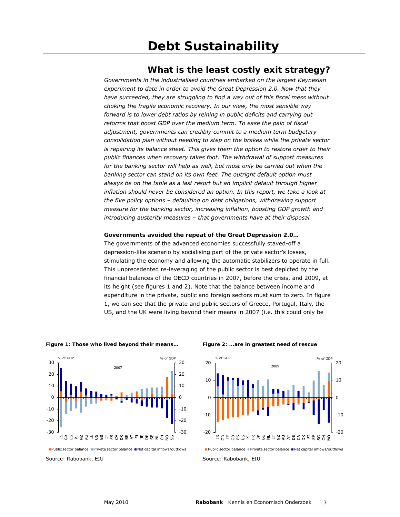### **What is the least costly exit strategy?**

*Governments in the industrialised countries embarked on the largest Keynesian experiment to date in order to avoid the Great Depression 2.0. Now that they have succeeded, they are struggling to find a way out of this fiscal mess without choking the fragile economic recovery. In our view, the most sensible way forward is to lower debt ratios by reining in public deficits and carrying out reforms that boost GDP over the medium term. To ease the pain of fiscal adjustment, governments can credibly commit to a medium term budgetary consolidation plan without needing to step on the brakes while the private sector is repairing its balance sheet. This gives them the option to restore order to their public finances when recovery takes foot. The withdrawal of support measures*  for the banking sector will help as well, but must only be carried out when the *banking sector can stand on its own feet. The outright default option must always be on the table as a last resort but an implicit default through higher inflation should never be considered an option. In this report, we take a look at the five policy options – defaulting on debt obligations, withdrawing support measure for the banking sector, increasing inflation, boosting GDP growth and introducing austerity measures – that governments have at their disposal.*

#### **Governments avoided the repeat of the Great Depression 2.0…**

The governments of the advanced economies successfully staved-off a depression-like scenario by socialising part of the private sector's losses, stimulating the economy and allowing the automatic stabilizers to operate in full. This unprecedented re-leveraging of the public sector is best depicted by the financial balances of the OECD countries in 2007, before the crisis, and 2009, at its height (see figures 1 and 2). Note that the balance between income and expenditure in the private, public and foreign sectors must sum to zero. In figure 1, we can see that the private and public sectors of Greece, Portugal, Italy, the US, and the UK were living beyond their means in 2007 (i.e. this could only be

Figure 1: Those who lived beyond their means... Figure 2: ...are in greatest need of rescue





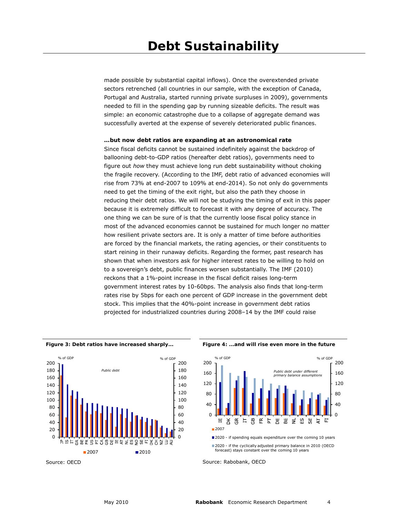made possible by substantial capital inflows). Once the overextended private sectors retrenched (all countries in our sample, with the exception of Canada, Portugal and Australia, started running private surpluses in 2009), governments needed to fill in the spending gap by running sizeable deficits. The result was simple: an economic catastrophe due to a collapse of aggregate demand was successfully averted at the expense of severely deteriorated public finances.

#### **…but now debt ratios are expanding at an astronomical rate**

Since fiscal deficits cannot be sustained indefinitely against the backdrop of ballooning debt-to-GDP ratios (hereafter debt ratios), governments need to figure out *how* they must achieve long run debt sustainability without choking the fragile recovery. (According to the IMF, debt ratio of advanced economies will rise from 73% at end-2007 to 109% at end-2014). So not only do governments need to get the timing of the exit right, but also the path they choose in reducing their debt ratios. We will not be studying the timing of exit in this paper because it is extremely difficult to forecast it with any degree of accuracy. The one thing we can be sure of is that the currently loose fiscal policy stance in most of the advanced economies cannot be sustained for much longer no matter how resilient private sectors are. It is only a matter of time before authorities are forced by the financial markets, the rating agencies, or their constituents to start reining in their runaway deficits. Regarding the former, past research has shown that when investors ask for higher interest rates to be willing to hold on to a sovereign's debt, public finances worsen substantially. The IMF (2010) reckons that a 1%-point increase in the fiscal deficit raises long-term government interest rates by 10-60bps. The analysis also finds that long-term rates rise by 5bps for each one percent of GDP increase in the government debt stock. This implies that the 40%-point increase in government debt ratios projected for industrialized countries during 2008–14 by the IMF could raise



Source: OECD





**<sup>2020</sup>** - if the cyclically adjusted primary balance in 2010 (OECD forecast) stays constant over the coming 10 years

Source: Rabobank, OECD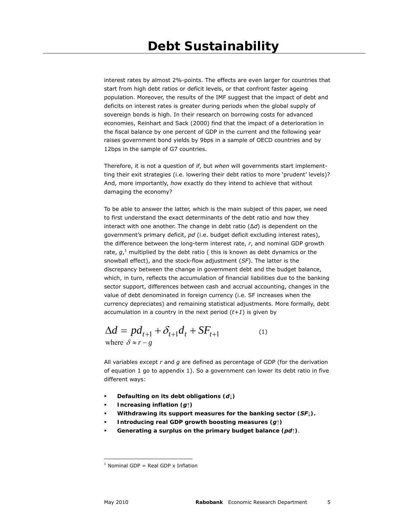interest rates by almost 2%-points. The effects are even larger for countries that start from high debt ratios or deficit levels, or that confront faster ageing population. Moreover, the results of the IMF suggest that the impact of debt and deficits on interest rates is greater during periods when the global supply of sovereign bonds is high. In their research on borrowing costs for advanced economies, Reinhart and Sack (2000) find that the impact of a deterioration in the fiscal balance by one percent of GDP in the current and the following year raises government bond yields by 9bps in a sample of OECD countries and by 12bps in the sample of G7 countries.

Therefore, it is not a question of *if*, but *when* will governments start implementting their exit strategies (i.e. lowering their debt ratios to more 'prudent' levels)? And, more importantly, *how* exactly do they intend to achieve that without damaging the economy?

To be able to answer the latter, which is the main subject of this paper, we need to first understand the exact determinants of the debt ratio and how they interact with one another. The change in debt ratio (∆*d*) is dependent on the government's primary deficit, *pd* (i.e. budget deficit excluding interest rates), the difference between the long-term interest rate, *r*, and nominal GDP growth rate, g,<sup>1</sup> multiplied by the debt ratio ( this is known as debt dynamics or the snowball effect), and the stock-flow adjustment (*SF*). The latter is the discrepancy between the change in government debt and the budget balance, which, in turn, reflects the accumulation of financial liabilities due to the banking sector support, differences between cash and accrual accounting, changes in the value of debt denominated in foreign currency (i.e. SF increases when the currency depreciates) and remaining statistical adjustments. More formally, debt accumulation in a country in the next period (*t+1*) is given by

$$
\Delta d = pd_{t+1} + \delta_{t+1}d_t + SF_{t+1}
$$
\nwhere  $\delta \approx r - g$  (1)

All variables except *r* and *g* are defined as percentage of GDP (for the derivation of equation 1 go to appendix 1). So a government can lower its debt ratio in five different ways:

- **Defaulting on its debt obligations (***d***↓)**
- **Increasing inflation (***g***↑)**
- **Withdrawing its support measures for the banking sector (***SF***↓).**
- **Introducing real GDP growth boosting measures (***g***↑)**
- **Generating a surplus on the primary budget balance (***pd***↑)**.

 $<sup>1</sup>$  Nominal GDP = Real GDP x Inflation</sup>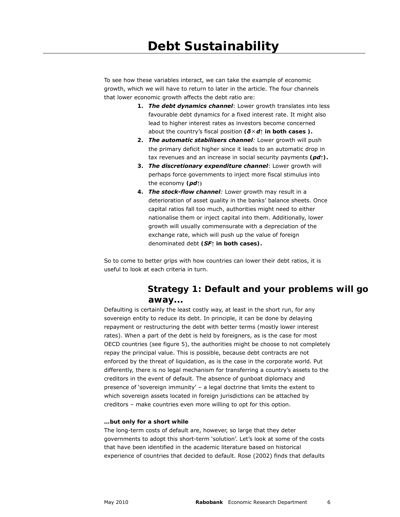To see how these variables interact, we can take the example of economic growth, which we will have to return to later in the article. The four channels that lower economic growth affects the debt ratio are:

- **1.** *The debt dynamics channel*: Lower growth translates into less favourable debt dynamics for a fixed interest rate. It might also lead to higher interest rates as investors become concerned about the country's fiscal position **(***δ*×*d***↑ in both cases ).**
- **2.** *The automatic stabilisers channel:* Lower growth will push the primary deficit higher since it leads to an automatic drop in tax revenues and an increase in social security payments **(***pd***↑).**
- **3.** *The discretionary expenditure channel*: Lower growth will perhaps force governments to inject more fiscal stimulus into the economy **(***pd***↑)**
- **4.** *The stock-flow channel:* Lower growth may result in a deterioration of asset quality in the banks' balance sheets. Once capital ratios fall too much, authorities might need to either nationalise them or inject capital into them. Additionally, lower growth will usually commensurate with a depreciation of the exchange rate, which will push up the value of foreign denominated debt **(***SF***↑ in both cases).**

So to come to better grips with how countries can lower their debt ratios, it is useful to look at each criteria in turn.

### **Strategy 1: Default and your problems will go away...**

Defaulting is certainly the least costly way, at least in the short run, for any sovereign entity to reduce its debt. In principle, it can be done by delaying repayment or restructuring the debt with better terms (mostly lower interest rates). When a part of the debt is held by foreigners, as is the case for most OECD countries (see figure 5), the authorities might be choose to not completely repay the principal value. This is possible, because debt contracts are not enforced by the threat of liquidation, as is the case in the corporate world. Put differently, there is no legal mechanism for transferring a country's assets to the creditors in the event of default. The absence of gunboat diplomacy and presence of 'sovereign immunity' – a legal doctrine that limits the extent to which sovereign assets located in foreign jurisdictions can be attached by creditors – make countries even more willing to opt for this option.

#### **…but only for a short while**

The long-term costs of default are, however, so large that they deter governments to adopt this short-term 'solution'. Let's look at some of the costs that have been identified in the academic literature based on historical experience of countries that decided to default. Rose (2002) finds that defaults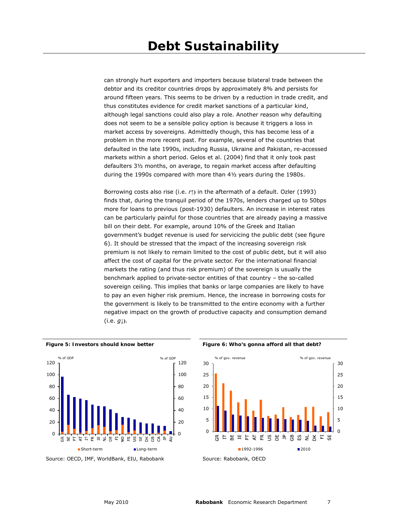can strongly hurt exporters and importers because bilateral trade between the debtor and its creditor countries drops by approximately 8% and persists for around fifteen years. This seems to be driven by a reduction in trade credit, and thus constitutes evidence for credit market sanctions of a particular kind, although legal sanctions could also play a role. Another reason why defaulting does not seem to be a sensible policy option is because it triggers a loss in market access by sovereigns. Admittedly though, this has become less of a problem in the more recent past. For example, several of the countries that defaulted in the late 1990s, including Russia, Ukraine and Pakistan, re-accessed markets within a short period. Gelos et al. (2004) find that it only took past defaulters 3½ months, on average, to regain market access after defaulting during the 1990s compared with more than 4½ years during the 1980s.

Borrowing costs also rise (i.e. *r***↑)** in the aftermath of a default. Ozler (1993) finds that, during the tranquil period of the 1970s, lenders charged up to 50bps more for loans to previous (post-1930) defaulters. An increase in interest rates can be particularly painful for those countries that are already paying a massive bill on their debt. For example, around 10% of the Greek and Italian government's budget revenue is used for servicicing the public debt (see figure 6). It should be stressed that the impact of the increasing sovereign risk premium is not likely to remain limited to the cost of public debt, but it will also affect the cost of capital for the private sector. For the international financial markets the rating (and thus risk premium) of the sovereign is usually the benchmark applied to private-sector entities of that country – the so-called sovereign ceiling. This implies that banks or large companies are likely to have to pay an even higher risk premium. Hence, the increase in borrowing costs for the government is likely to be transmitted to the entire economy with a further negative impact on the growth of productive capacity and consumption demand (i.e. *g***↓)**.



Source: OECD, IMF, WorldBank, EIU, Rabobank

Figure 5: Investors should know better **Figure 6: Who's gonna afford all that debt?** 

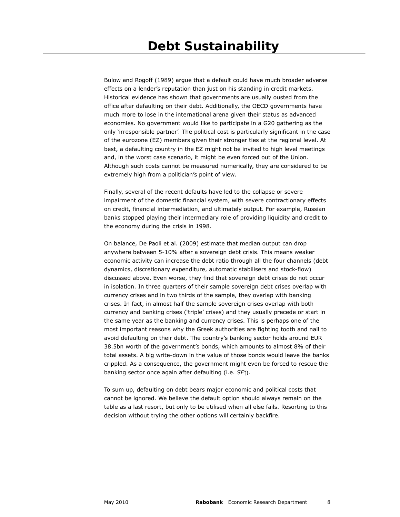Bulow and Rogoff (1989) argue that a default could have much broader adverse effects on a lender's reputation than just on his standing in credit markets. Historical evidence has shown that governments are usually ousted from the office after defaulting on their debt. Additionally, the OECD governments have much more to lose in the international arena given their status as advanced economies. No government would like to participate in a G20 gathering as the only 'irresponsible partner'. The political cost is particularly significant in the case of the eurozone (EZ) members given their stronger ties at the regional level. At best, a defaulting country in the EZ might not be invited to high level meetings and, in the worst case scenario, it might be even forced out of the Union. Although such costs cannot be measured numerically, they are considered to be extremely high from a politician's point of view.

Finally, several of the recent defaults have led to the collapse or severe impairment of the domestic financial system, with severe contractionary effects on credit, financial intermediation, and ultimately output. For example, Russian banks stopped playing their intermediary role of providing liquidity and credit to the economy during the crisis in 1998.

On balance, De Paoli et al. (2009) estimate that median output can drop anywhere between 5-10% after a sovereign debt crisis. This means weaker economic activity can increase the debt ratio through all the four channels (debt dynamics, discretionary expenditure, automatic stabilisers and stock-flow) discussed above. Even worse, they find that sovereign debt crises do not occur in isolation. In three quarters of their sample sovereign debt crises overlap with currency crises and in two thirds of the sample, they overlap with banking crises. In fact, in almost half the sample sovereign crises overlap with both currency and banking crises ('triple' crises) and they usually precede or start in the same year as the banking and currency crises. This is perhaps one of the most important reasons why the Greek authorities are fighting tooth and nail to avoid defaulting on their debt. The country's banking sector holds around EUR 38.5bn worth of the government's bonds, which amounts to almost 8% of their total assets. A big write-down in the value of those bonds would leave the banks crippled. As a consequence, the government might even be forced to rescue the banking sector once again after defaulting (i.e. *SF***↑)**.

To sum up, defaulting on debt bears major economic and political costs that cannot be ignored. We believe the default option should always remain on the table as a last resort, but only to be utilised when all else fails. Resorting to this decision without trying the other options will certainly backfire.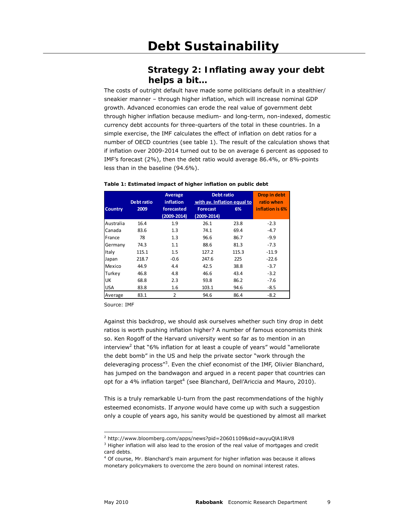### **Strategy 2: Inflating away your debt helps a bit…**

The costs of outright default have made some politicians default in a stealthier/ sneakier manner – through higher inflation, which will increase nominal GDP growth. Advanced economies can erode the real value of government debt through higher inflation because medium- and long-term, non-indexed, domestic currency debt accounts for three-quarters of the total in these countries. In a simple exercise, the IMF calculates the effect of inflation on debt ratios for a number of OECD countries (see table 1). The result of the calculation shows that if inflation over 2009-2014 turned out to be on average 6 percent as opposed to IMF's forecast (2%), then the debt ratio would average 86.4%, or 8%-points less than in the baseline (94.6%).

|                |            | Average          | <b>Debt ratio</b>           |            | <b>Drop in debt</b> |
|----------------|------------|------------------|-----------------------------|------------|---------------------|
|                | Debt ratio | <b>inflation</b> | with av. Inflation equal to | ratio when |                     |
| <b>Country</b> | 2009       | forecasted       | <b>Forecast</b>             | 6%         | inflation is 6%     |
|                |            | $(2009 - 2014)$  | $(2009 - 2014)$             |            |                     |
| Australia      | 16.4       | 1.9              | 26.1                        | 23.8       | $-2.3$              |
| Canada         | 83.6       | 1.3              | 74.1                        | 69.4       | $-4.7$              |
| France         | 78         | 1.3              | 96.6                        | 86.7       | $-9.9$              |
| Germany        | 74.3       | 1.1              | 88.6                        | 81.3       | $-7.3$              |
| Italy          | 115.1      | 1.5              | 127.2                       | 115.3      | $-11.9$             |
| Japan          | 218.7      | $-0.6$           | 247.6                       | 225        | $-22.6$             |
| Mexico         | 44.9       | 4.4              | 42.5                        | 38.8       | $-3.7$              |
| Turkey         | 46.8       | 4.8              | 46.6                        | 43.4       | $-3.2$              |
| UK             | 68.8       | 2.3              | 93.8                        | 86.2       | $-7.6$              |
| <b>USA</b>     | 83.8       | 1.6              | 103.1                       | 94.6       | $-8.5$              |
| Average        | 83.1       | $\overline{2}$   | 94.6                        | 86.4       | $-8.2$              |

#### **Table 1: Estimated impact of higher inflation on public debt**

Source: IMF

Against this backdrop, we should ask ourselves whether such tiny drop in debt ratios is worth pushing inflation higher? A number of famous economists think so. Ken Rogoff of the Harvard university went so far as to mention in an interview<sup>2</sup> that "6% inflation for at least a couple of years" would "ameliorate the debt bomb" in the US and help the private sector "work through the deleveraging process"<sup>3</sup>. Even the chief economist of the IMF, Olivier Blanchard, has jumped on the bandwagon and argued in a recent paper that countries can opt for a 4% inflation target<sup>4</sup> (see Blanchard, Dell'Ariccia and Mauro, 2010).

This is a truly remarkable U-turn from the past recommendations of the highly esteemed economists. If *anyone* would have come up with such a suggestion only a couple of years ago, his sanity would be questioned by almost all market

<sup>2</sup> http://www.bloomberg.com/apps/news?pid=20601109&sid=auyuQlA1lRV8

<sup>&</sup>lt;sup>3</sup> Higher inflation will also lead to the erosion of the real value of mortgages and credit card debts.

<sup>4</sup> Of course, Mr. Blanchard's main argument for higher inflation was because it allows monetary policymakers to overcome the zero bound on nominal interest rates.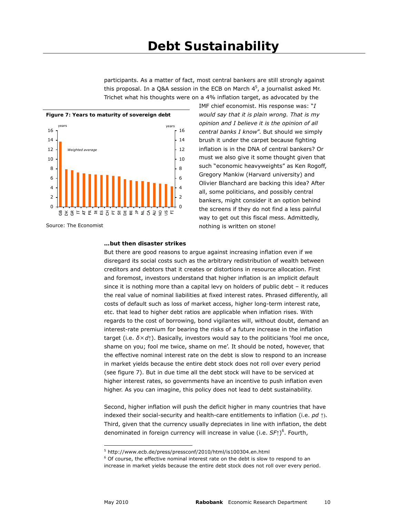participants. As a matter of fact, most central bankers are still strongly against this proposal. In a Q&A session in the ECB on March  $4^5$ , a journalist asked Mr. Trichet what his thoughts were on a 4% inflation target, as advocated by the





Source: The Economist

IMF chief economist. His response was: "*I would say that it is plain wrong. That is my opinion and I believe it is the opinion of all central banks I know*". But should we simply brush it under the carpet because fighting inflation is in the DNA of central bankers? Or must we also give it some thought given that such "economic heavyweights" as Ken Rogoff, Gregory Mankiw (Harvard university) and Olivier Blanchard are backing this idea? After all, some politicians, and possibly central bankers, might consider it an option behind the screens if they do not find a less painful way to get out this fiscal mess. Admittedly, nothing is written on stone!

#### **…but then disaster strikes**

But there are good reasons to argue against increasing inflation even if we disregard its social costs such as the arbitrary redistribution of wealth between creditors and debtors that it creates or distortions in resource allocation. First and foremost, investors understand that higher inflation is an implicit default since it is nothing more than a capital levy on holders of public debt – it reduces the real value of nominal liabilities at fixed interest rates. Phrased differently, all costs of default such as loss of market access, higher long-term interest rate, etc. that lead to higher debt ratios are applicable when inflation rises. With regards to the cost of borrowing, bond vigilantes will, without doubt, demand an interest-rate premium for bearing the risks of a future increase in the inflation target (i.e. *δ*×*d*↑). Basically, investors would say to the politicians 'fool me once, shame on you; fool me twice, shame on me'. It should be noted, however, that the effective nominal interest rate on the debt is slow to respond to an increase in market yields because the entire debt stock does not roll over every period (see figure 7). But in due time all the debt stock will have to be serviced at higher interest rates, so governments have an incentive to push inflation even higher. As you can imagine, this policy does not lead to debt sustainability.

Second, higher inflation will push the deficit higher in many countries that have indexed their social-security and health-care entitlements to inflation (i.e. *pd* ↑). Third, given that the currency usually depreciates in line with inflation, the debt denominated in foreign currency will increase in value (i.e. *SF***↑**)<sup>6</sup> . Fourth,

<sup>5</sup> http://www.ecb.de/press/pressconf/2010/html/is100304.en.html

<sup>&</sup>lt;sup>6</sup> Of course, the effective nominal interest rate on the debt is slow to respond to an increase in market yields because the entire debt stock does not roll over every period.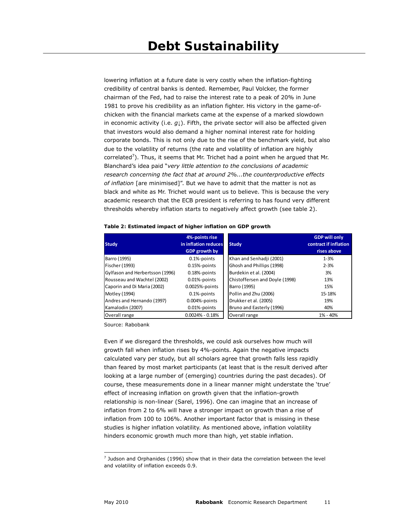lowering inflation at a future date is very costly when the inflation-fighting credibility of central banks is dented. Remember, Paul Volcker, the former chairman of the Fed, had to raise the interest rate to a peak of 20% in June 1981 to prove his credibility as an inflation fighter. His victory in the game-ofchicken with the financial markets came at the expense of a marked slowdown in economic activity (i.e. *g***↓**). Fifth, the private sector will also be affected given that investors would also demand a higher nominal interest rate for holding corporate bonds. This is not only due to the rise of the benchmark yield, but also due to the volatility of returns (the rate and volatility of inflation are highly correlated<sup>7</sup>). Thus, it seems that Mr. Trichet had a point when he argued that Mr. Blanchard's idea paid "*very little attention to the conclusions of academic research concerning the fact that at around 2%...the counterproductive effects of inflation* [are minimised]". But we have to admit that the matter is not as black and white as Mr. Trichet would want us to believe. This is because the very academic research that the ECB president is referring to has found very different thresholds whereby inflation starts to negatively affect growth (see table 2).

|                                 | 4%-points rise       |                                | <b>GDP will only</b>  |
|---------------------------------|----------------------|--------------------------------|-----------------------|
| <b>Study</b>                    | in inflation reduces | <b>Study</b>                   | contract if inflation |
|                                 | <b>GDP growth by</b> |                                | rises above           |
| Barro (1995)                    | 0.1%-points          | Khan and Senhadji (2001)       | $1 - 3%$              |
| Fischer (1993)                  | 0.15%-points         | Ghosh and Phillips (1998)      | $2 - 3%$              |
| Gylfason and Herbertsson (1996) | 0.18%-points         | Burdekin et al. (2004)         | 3%                    |
| Rousseau and Wachtel (2002)     | 0.01%-points         | Chistoffersen and Doyle (1998) | 13%                   |
| Caporin and Di Maria (2002)     | 0.0025%-points       | Barro (1995)                   | 15%                   |
| Motley (1994)                   | $0.1%$ -points       | Pollin and Zhu (2006)          | 15-18%                |
| Andres and Hernando (1997)      | $0.004%$ -points     | Drukker et al. (2005)          | 19%                   |
| Kamalodin (2007)                | 0.01%-points         | Bruno and Easterly (1996)      | 40%                   |
| Overall range                   | $0.0024\% - 0.18\%$  | Overall range                  | 1% - 40%              |

#### **Table 2: Estimated impact of higher inflation on GDP growth**

Source: Rabobank

Even if we disregard the thresholds, we could ask ourselves how much will growth fall when inflation rises by 4%-points. Again the negative impacts calculated vary per study, but all scholars agree that growth falls less rapidly than feared by most market participants (at least that is the result derived after looking at a large number of (emerging) countries during the past decades). Of course, these measurements done in a linear manner might understate the 'true' effect of increasing inflation on growth given that the inflation-growth relationship is non-linear (Sarel, 1996). One can imagine that an increase of inflation from 2 to 6% will have a stronger impact on growth than a rise of inflation from 100 to 106%. Another important factor that is missing in these studies is higher inflation volatility. As mentioned above, inflation volatility hinders economic growth much more than high, yet stable inflation.

 $<sup>7</sup>$  Judson and Orphanides (1996) show that in their data the correlation between the level</sup> and volatility of inflation exceeds 0.9.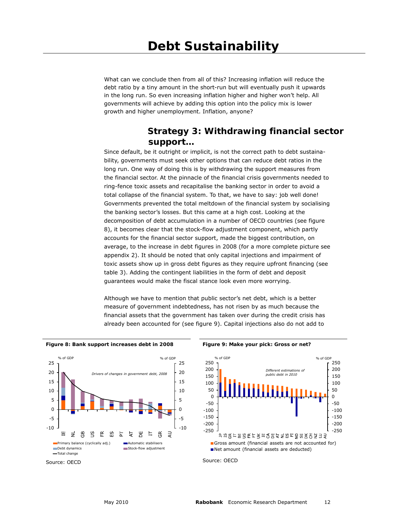What can we conclude then from all of this? Increasing inflation will reduce the debt ratio by a tiny amount in the short-run but will eventually push it upwards in the long run. So even increasing inflation higher and higher won't help. All governments will achieve by adding this option into the policy mix is lower growth and higher unemployment. Inflation, anyone?

### **Strategy 3: Withdrawing financial sector support…**

Since default, be it outright or implicit, is not the correct path to debt sustainability, governments must seek other options that can reduce debt ratios in the long run. One way of doing this is by withdrawing the support measures from the financial sector. At the pinnacle of the financial crisis governments needed to ring-fence toxic assets and recapitalise the banking sector in order to avoid a total collapse of the financial system. To that, we have to say: job well done! Governments prevented the total meltdown of the financial system by socialising the banking sector's losses. But this came at a high cost. Looking at the decomposition of debt accumulation in a number of OECD countries (see figure 8), it becomes clear that the stock-flow adjustment component, which partly accounts for the financial sector support, made the biggest contribution, on average, to the increase in debt figures in 2008 (for a more complete picture see appendix 2). It should be noted that only capital injections and impairment of toxic assets show up in gross debt figures as they require upfront financing (see table 3). Adding the contingent liabilities in the form of debt and deposit guarantees would make the fiscal stance look even more worrying.

Although we have to mention that public sector's net debt, which is a better measure of government indebtedness, has not risen by as much because the financial assets that the government has taken over during the credit crisis has already been accounted for (see figure 9). Capital injections also do not add to

**Figure 8: Bank support increases debt in 2008 Figure 9: Make your pick: Gross or net?** 



Source: OECD



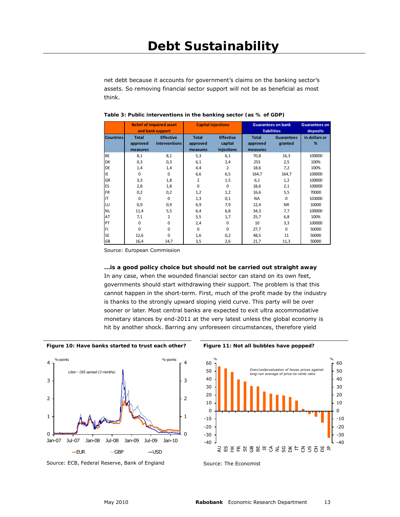net debt because it accounts for government's claims on the banking sector's assets. So removing financial sector support will not be as beneficial as most think.

|                  | <b>Relief of impaired asset</b>  |                      |              | <b>Capital injections</b> |              | <b>Guarantees on bank</b><br><b>liabilities</b> |               |  |
|------------------|----------------------------------|----------------------|--------------|---------------------------|--------------|-------------------------------------------------|---------------|--|
|                  | and bank support                 |                      |              |                           |              | deposits                                        |               |  |
| <b>Countries</b> | <b>Total</b><br><b>Effective</b> |                      | <b>Total</b> | <b>Effective</b>          | <b>Total</b> | <b>Guarantees</b>                               | in dollars or |  |
|                  | approved                         | <i>interventions</i> | approved     | capital                   | approved     | granted                                         | %             |  |
|                  | measures                         |                      | measures     | injections                | measures     |                                                 |               |  |
| <b>BE</b>        | 8,1                              | 8,1                  | 5,3          | 6,1                       | 70,8         | 16,3                                            | 100000        |  |
| <b>DK</b>        | 0,3                              | 0,3                  | 6,1          | 2,4                       | 253          | 2,5                                             | 100%          |  |
| DE               | 1,4                              | 1,4                  | 4,4          | 2                         | 18,6         | 7,2                                             | 100%          |  |
| IE               | 0                                | $\Omega$             | 6,6          | 6,5                       | 164,7        | 164,7                                           | 100000        |  |
| GR               | 3,3                              | 1,8                  | 2            | 1,5                       | 6,1          | 1,2                                             | 100000        |  |
| ES               | 2,8                              | 1,8                  | $\Omega$     | 0                         | 18,6         | 2,1                                             | 100000        |  |
| <b>FR</b>        | 0,2                              | 0,2                  | 1,2          | 1,2                       | 16,6         | 5,5                                             | 70000         |  |
| IT               | $\Omega$                         | $\Omega$             | 1,3          | 0,1                       | <b>NA</b>    | $\Omega$                                        | 103000        |  |
| LU               | 0,9                              | 0,9                  | 6,9          | 7,9                       | 12,4         | <b>NR</b>                                       | 10000         |  |
| <b>NL</b>        | 11,4                             | 5,5                  | 6,4          | 6,8                       | 34,3         | 7,7                                             | 100000        |  |
| AT               | 7,1                              | 2                    | 5,5          | 1,7                       | 25,7         | 6,8                                             | 100%          |  |
| PT               | 0                                | $\Omega$             | 2,4          | $\Omega$                  | 10           | 3,3                                             | 100000        |  |
| FI               | 0                                | $\Omega$             | $\Omega$     | $\Omega$                  | 27,7         | 0                                               | 50000         |  |
| <b>SE</b>        | 12,6                             | $\Omega$             | 1,6          | 0,2                       | 48,5         | 11                                              | 50000         |  |
| GB               | 16,4                             | 14,7                 | 3,5          | 2,6                       | 21,7         | 11,3                                            | 50000         |  |

**Table 3: Public interventions in the banking sector (as % of GDP)**

Source: European Commission

#### **...is a good policy choice but should not be carried out straight away**

In any case, when the wounded financial sector can stand on its own feet, governments should start withdrawing their support. The problem is that this cannot happen in the short-term. First, much of the profit made by the industry is thanks to the strongly upward sloping yield curve. This party will be over sooner or later. Most central banks are expected to exit ultra accommodative monetary stances by end-2011 at the very latest unless the global economy is hit by another shock. Barring any unforeseen circumstances, therefore yield





Source: ECB, Federal Reserve, Bank of England



Source: The Economist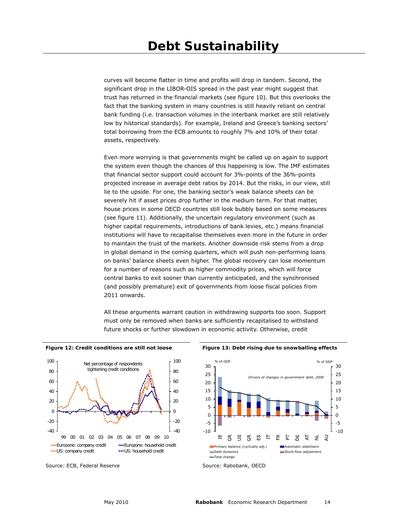curves will become flatter in time and profits will drop in tandem. Second, the significant drop in the LIBOR-OIS spread in the past year might suggest that trust has returned in the financial markets (see figure 10). But this overlooks the fact that the banking system in many countries is still heavily reliant on central bank funding (i.e. transaction volumes in the interbank market are still relatively low by historical standards). For example, Ireland and Greece's banking sectors' total borrowing from the ECB amounts to roughly 7% and 10% of their total assets, respectively.

Even more worrying is that governments might be called up on again to support the system even though the chances of this happening is low. The IMF estimates that financial sector support could account for 3%-points of the 36%-points projected increase in average debt ratios by 2014. But the risks, in our view, still lie to the upside. For one, the banking sector's weak balance sheets can be severely hit if asset prices drop further in the medium term. For that matter, house prices in some OECD countries still look bubbly based on some measures (see figure 11). Additionally, the uncertain regulatory environment (such as higher capital requirements, introductions of bank levies, etc.) means financial institutions will have to recapitalise themselves even more in the future in order to maintain the trust of the markets. Another downside risk stems from a drop in global demand in the coming quarters, which will push non-performing loans on banks' balance sheets even higher. The global recovery can lose momentum for a number of reasons such as higher commodity prices, which will force central banks to exit sooner than currently anticipated, and the synchronised (and possibly premature) exit of governments from loose fiscal policies from 2011 onwards.

All these arguments warrant caution in withdrawing supports too soon. Support must only be removed when banks are sufficiently recapitalised to withstand future shocks or further slowdown in economic activity. Otherwise, credit

Figure 12: Credit conditions are still not loose **Figure 13: Debt rising due to snowballing effects** 



Source: ECB, Federal Reserve



Source: Rabobank, OECD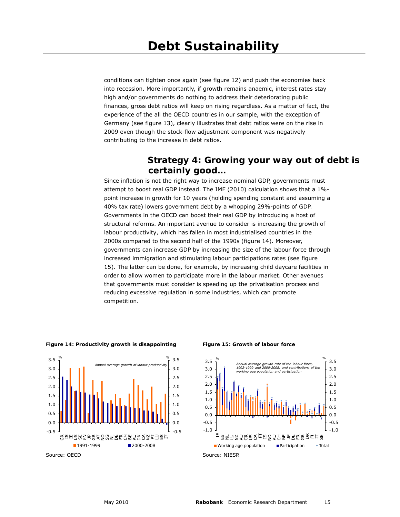conditions can tighten once again (see figure 12) and push the economies back into recession. More importantly, if growth remains anaemic, interest rates stay high and/or governments do nothing to address their deteriorating public finances, gross debt ratios will keep on rising regardless. As a matter of fact, the experience of the all the OECD countries in our sample, with the exception of Germany (see figure 13), clearly illustrates that debt ratios were on the rise in 2009 even though the stock-flow adjustment component was negatively contributing to the increase in debt ratios.

### **Strategy 4: Growing your way out of debt is certainly good…**

Since inflation is not the right way to increase nominal GDP, governments must attempt to boost real GDP instead. The IMF (2010) calculation shows that a 1% point increase in growth for 10 years (holding spending constant and assuming a 40% tax rate) lowers government debt by a whopping 29%-points of GDP. Governments in the OECD can boost their real GDP by introducing a host of structural reforms. An important avenue to consider is increasing the growth of labour productivity, which has fallen in most industrialised countries in the 2000s compared to the second half of the 1990s (figure 14). Moreover, governments can increase GDP by increasing the size of the labour force through increased immigration and stimulating labour participations rates (see figure 15). The latter can be done, for example, by increasing child daycare facilities in order to allow women to participate more in the labour market. Other avenues that governments must consider is speeding up the privatisation process and reducing excessive regulation in some industries, which can promote competition.





Source: OECD



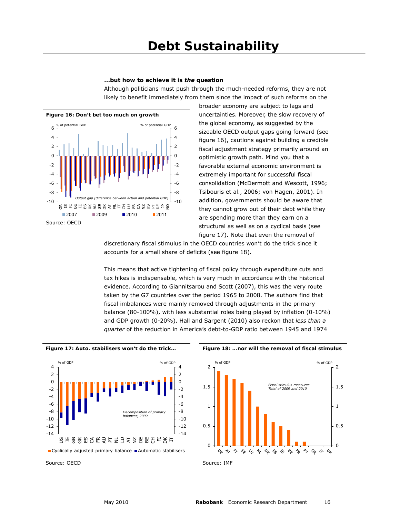#### **...but how to achieve it is** *the* **question**

Although politicians must push through the much-needed reforms, they are not likely to benefit immediately from them since the impact of such reforms on the



broader economy are subject to lags and uncertainties. Moreover, the slow recovery of the global economy, as suggested by the sizeable OECD output gaps going forward (see figure 16), cautions against building a credible fiscal adjustment strategy primarily around an optimistic growth path. Mind you that a favorable external economic environment is extremely important for successful fiscal consolidation (McDermott and Wescott, 1996; Tsibouris et al., 2006; von Hagen, 2001). In addition, governments should be aware that they cannot grow out of their debt while they are spending more than they earn on a structural as well as on a cyclical basis (see figure 17). Note that even the removal of

discretionary fiscal stimulus in the OECD countries won't do the trick since it accounts for a small share of deficits (see figure 18).

This means that active tightening of fiscal policy through expenditure cuts and tax hikes is indispensable, which is very much in accordance with the historical evidence. According to Giannitsarou and Scott (2007), this was the very route taken by the G7 countries over the period 1965 to 2008. The authors find that fiscal imbalances were mainly removed through adjustments in the primary balance (80-100%), with less substantial roles being played by inflation (0-10%) and GDP growth (0-20%). Hall and Sargent (2010) also reckon that *less than a quarter* of the reduction in America's debt-to-GDP ratio between 1945 and 1974





Source: OECD

**Figure 17: Auto. stabilisers won't do the trick… Figure 18: …nor will the removal of fiscal stimulus** 



Source: IMF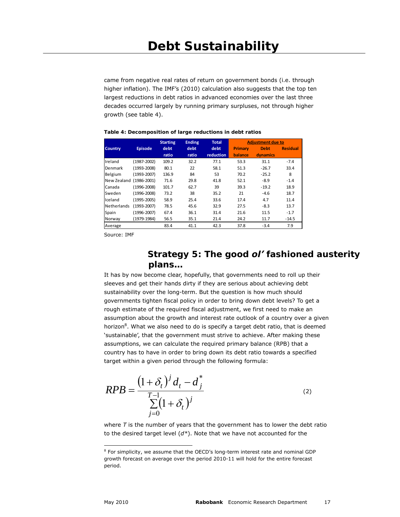came from negative real rates of return on government bonds (i.e. through higher inflation). The IMF's (2010) calculation also suggests that the top ten largest reductions in debt ratios in advanced economies over the last three decades occurred largely by running primary surpluses, not through higher growth (see table 4).

#### **Table 4: Decomposition of large reductions in debt ratios**

|                |                 | <b>Starting</b> | <b>Ending</b> | <b>Total</b> |                | <b>Adjustment due to</b> |                 |
|----------------|-----------------|-----------------|---------------|--------------|----------------|--------------------------|-----------------|
| <b>Country</b> | <b>Episode</b>  | debt            | debt          | debt         | Primary        | <b>Debt</b>              | <b>Residual</b> |
|                |                 | ratio           | ratio         | reduction    | <b>balance</b> | dynamics                 |                 |
| Ireland        | (1987-2002)     | 109.2           | 32.2          | 77.1         | 53.3           | 31.1                     | $-7.4$          |
| Denmark        | (1993-2008)     | 80.1            | 22            | 58.1         | 51.3           | $-26.7$                  | 33.4            |
| Belgium        | (1993-2007)     | 136.9           | 84            | 53           | 70.2           | $-25.2$                  | 8               |
| New Zealand    | $(1986 - 2001)$ | 71.6            | 29.8          | 41.8         | 52.1           | $-8.9$                   | $-1.4$          |
| Canada         | (1996-2008)     | 101.7           | 62.7          | 39           | 39.3           | $-19.2$                  | 18.9            |
| Sweden         | (1996-2008)     | 73.2            | 38            | 35.2         | 21             | $-4.6$                   | 18.7            |
| Iceland        | (1995-2005)     | 58.9            | 25.4          | 33.6         | 17.4           | 4.7                      | 11.4            |
| Netherlands    | (1993-2007)     | 78.5            | 45.6          | 32.9         | 27.5           | $-8.3$                   | 13.7            |
| Spain          | (1996-2007)     | 67.4            | 36.1          | 31.4         | 21.6           | 11.5                     | $-1.7$          |
| Norway         | (1979-1984)     | 56.5            | 35.1          | 21.4         | 24.2           | 11.7                     | $-14.5$         |
| Average        |                 | 83.4            | 41.1          | 42.3         | 37.8           | $-3.4$                   | 7.9             |

Source: IMF

### **Strategy 5: The good** *ol'* **fashioned austerity plans…**

It has by now become clear, hopefully, that governments need to roll up their sleeves and get their hands dirty if they are serious about achieving debt sustainability over the long-term. But the question is how much should governments tighten fiscal policy in order to bring down debt levels? To get a rough estimate of the required fiscal adjustment, we first need to make an assumption about the growth and interest rate outlook of a country over a given horizon<sup>8</sup>. What we also need to do is specify a target debt ratio, that is deemed 'sustainable', that the government must strive to achieve. After making these assumptions, we can calculate the required primary balance (RPB) that a country has to have in order to bring down its debt ratio towards a specified target within a given period through the following formula:

$$
RPB = \frac{(1+\delta_t)^j d_t - d_j^*}{\sum_{j=0}^{T-1} (1+\delta_t)^j}
$$
 (2)

where *T* is the number of years that the government has to lower the debt ratio to the desired target level (*d\**). Note that we have not accounted for the

<sup>&</sup>lt;sup>8</sup> For simplicity, we assume that the OECD's long-term interest rate and nominal GDP growth forecast on average over the period 2010-11 will hold for the entire forecast period.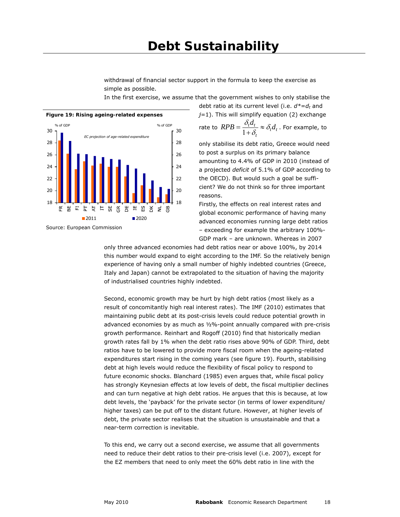withdrawal of financial sector support in the formula to keep the exercise as simple as possible.

In the first exercise, we assume that the government wishes to only stabilise the



Source: European Commission

debt ratio at its current level (i.e.  $d^* = d_t$  and *j*=1). This will simplify equation (2) exchange rate to  $RPB = \frac{1}{1+s} \approx \delta_t d_t$  $RPB = \frac{\delta_t d_t}{1 + \delta_t} \approx \delta_t d_t$  . For example, to

*t*

only stabilise its debt ratio, Greece would need to post a surplus on its primary balance amounting to 4.4% of GDP in 2010 (instead of a projected *deficit* of 5.1% of GDP according to the OECD). But would such a goal be sufficient? We do not think so for three important reasons.

Firstly, the effects on real interest rates and global economic performance of having many advanced economies running large debt ratios – exceeding for example the arbitrary 100%- GDP mark – are unknown. Whereas in 2007

only three advanced economies had debt ratios near or above 100%, by 2014 this number would expand to eight according to the IMF. So the relatively benign experience of having only a small number of highly indebted countries (Greece, Italy and Japan) cannot be extrapolated to the situation of having the majority of industrialised countries highly indebted.

Second, economic growth may be hurt by high debt ratios (most likely as a result of concomitantly high real interest rates). The IMF (2010) estimates that maintaining public debt at its post-crisis levels could reduce potential growth in advanced economies by as much as ½%-point annually compared with pre-crisis growth performance. Reinhart and Rogoff (2010) find that historically median growth rates fall by 1% when the debt ratio rises above 90% of GDP. Third, debt ratios have to be lowered to provide more fiscal room when the ageing-related expenditures start rising in the coming years (see figure 19). Fourth, stabilising debt at high levels would reduce the flexibility of fiscal policy to respond to future economic shocks. Blanchard (1985) even argues that, while fiscal policy has strongly Keynesian effects at low levels of debt, the fiscal multiplier declines and can turn negative at high debt ratios. He argues that this is because, at low debt levels, the 'payback' for the private sector (in terms of lower expenditure/ higher taxes) can be put off to the distant future. However, at higher levels of debt, the private sector realises that the situation is unsustainable and that a near-term correction is inevitable.

To this end, we carry out a second exercise, we assume that all governments need to reduce their debt ratios to their pre-crisis level (i.e. 2007), except for the EZ members that need to only meet the 60% debt ratio in line with the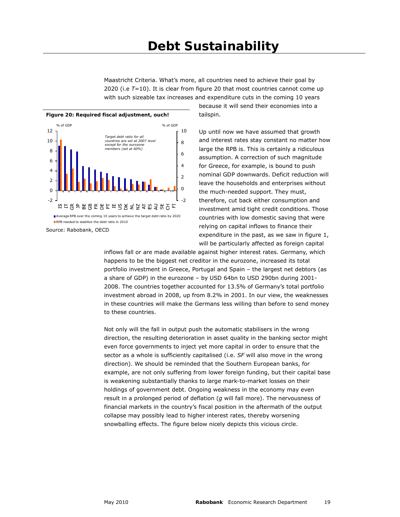Maastricht Criteria. What's more, all countries need to achieve their goal by 2020 (i.e *T*=10). It is clear from figure 20 that most countries cannot come up with such sizeable tax increases and expenditure cuts in the coming 10 years



Source: Rabobank, OECD

because it will send their economies into a tailspin.

Up until now we have assumed that growth and interest rates stay constant no matter how large the RPB is. This is certainly a ridiculous assumption. A correction of such magnitude for Greece, for example, is bound to push nominal GDP downwards. Deficit reduction will leave the households and enterprises without the much-needed support. They must, therefore, cut back either consumption and investment amid tight credit conditions. Those countries with low domestic saving that were relying on capital inflows to finance their expenditure in the past, as we saw in figure 1, will be particularly affected as foreign capital

inflows fall or are made available against higher interest rates. Germany, which happens to be the biggest net creditor in the eurozone, increased its total portfolio investment in Greece, Portugal and Spain – the largest net debtors (as a share of GDP) in the eurozone – by USD 64bn to USD 290bn during 2001- 2008. The countries together accounted for 13.5% of Germany's total portfolio investment abroad in 2008, up from 8.2% in 2001. In our view, the weaknesses in these countries will make the Germans less willing than before to send money to these countries.

Not only will the fall in output push the automatic stabilisers in the wrong direction, the resulting deterioration in asset quality in the banking sector might even force governments to inject yet more capital in order to ensure that the sector as a whole is sufficiently capitalised (i.e. *SF* will also move in the wrong direction). We should be reminded that the Southern European banks, for example, are not only suffering from lower foreign funding, but their capital base is weakening substantially thanks to large mark-to-market losses on their holdings of government debt. Ongoing weakness in the economy may even result in a prolonged period of deflation (*g* will fall more). The nervousness of financial markets in the country's fiscal position in the aftermath of the output collapse may possibly lead to higher interest rates, thereby worsening snowballing effects. The figure below nicely depicts this vicious circle.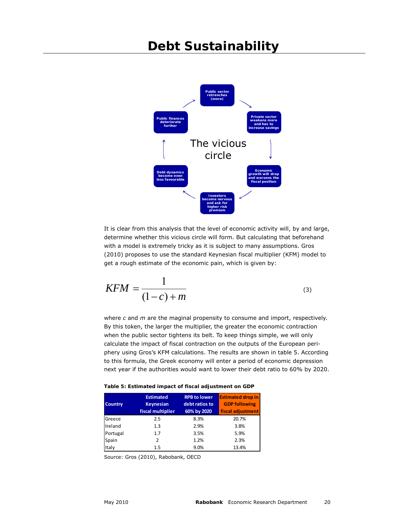## **Debt Sustainability**



It is clear from this analysis that the level of economic activity will, by and large, determine whether this vicious circle will form. But calculating that beforehand with a model is extremely tricky as it is subject to many assumptions. Gros (2010) proposes to use the standard Keynesian fiscal multiplier (KFM) model to get a rough estimate of the economic pain, which is given by:

$$
KFM = \frac{1}{(1-c) + m}
$$
\n<sup>(3)</sup>

where *c* and *m* are the maginal propensity to consume and import, respectively. By this token, the larger the multiplier, the greater the economic contraction when the public sector tightens its belt. To keep things simple, we will only calculate the impact of fiscal contraction on the outputs of the European periphery using Gros's KFM calculations. The results are shown in table 5. According to this formula, the Greek economy will enter a period of economic depression next year if the authorities would want to lower their debt ratio to 60% by 2020.

|  | Table 5: Estimated impact of fiscal adjustment on GDP |  |  |  |  |
|--|-------------------------------------------------------|--|--|--|--|
|  |                                                       |  |  |  |  |

| <b>Country</b> | <b>Estimated</b><br><b>Keynesian</b><br>fiscal multiplier | <b>RPB to lower</b><br>debt ratios to<br>60% by 2020 | <b>Estimated drop in</b><br><b>GDP following</b><br>fiscal adjustment |
|----------------|-----------------------------------------------------------|------------------------------------------------------|-----------------------------------------------------------------------|
| Greece         | 2.5                                                       | 8.3%                                                 | 20.7%                                                                 |
| Ireland        | 1.3                                                       | 2.9%                                                 | 3.8%                                                                  |
| Portugal       | 1.7                                                       | 3.5%                                                 | 5.9%                                                                  |
| Spain          | 2                                                         | 1.2%                                                 | 2.3%                                                                  |
| Italy          | $1.5\,$                                                   | 9.0%                                                 | 13.4%                                                                 |

Source: Gros (2010), Rabobank, OECD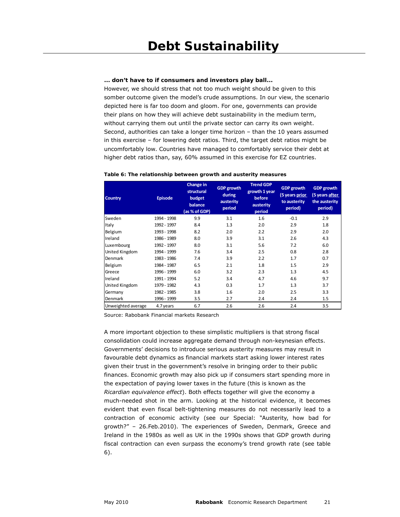#### **... don't have to if consumers and investors play ball...**

However, we should stress that not too much weight should be given to this somber outcome given the model's crude assumptions. In our view, the scenario depicted here is far too doom and gloom. For one, governments can provide their plans on how they will achieve debt sustainability in the medium term, without carrying them out until the private sector can carry its own weight. Second, authorities can take a longer time horizon – than the 10 years assumed in this exercise – for lowering debt ratios. Third, the target debt ratios might be uncomfortably low. Countries have managed to comfortably service their debt at higher debt ratios than, say, 60% assumed in this exercise for EZ countries.

| <b>Country</b>     | <b>Episode</b> | Change in<br>structural<br>budget<br>balance<br>(as % of GDP) | <b>GDP</b> growth<br>during<br>austerity<br>period | <b>Trend GDP</b><br>growth 1 year<br>before<br>austerity<br>period | <b>GDP</b> growth<br>(5 years prior<br>to austerity<br>period) | <b>GDP</b> growth<br>(5 years after<br>the austerity<br>period) |
|--------------------|----------------|---------------------------------------------------------------|----------------------------------------------------|--------------------------------------------------------------------|----------------------------------------------------------------|-----------------------------------------------------------------|
| Sweden             | 1994 - 1998    | 9.9                                                           | 3.1                                                | 1.6                                                                | $-0.1$                                                         | 2.9                                                             |
| Italy              | 1992 - 1997    | 8.4                                                           | 1.3                                                | 2.0                                                                | 2.9                                                            | 1.8                                                             |
| Belgium            | 1993 - 1998    | 8.2                                                           | 2.0                                                | 2.2                                                                | 2.9                                                            | 2.0                                                             |
| Ireland            | 1986 - 1989    | 8.0                                                           | 3.9                                                | 3.1                                                                | 2.6                                                            | 4.3                                                             |
| Luxembourg         | 1992 - 1997    | 8.0                                                           | 3.1                                                | 5.6                                                                | 7.2                                                            | 6.0                                                             |
| United Kingdom     | 1994 - 1999    | 7.6                                                           | 3.4                                                | 2.5                                                                | 0.8                                                            | 2.8                                                             |
| Denmark            | 1983 - 1986    | 7.4                                                           | 3.9                                                | 2.2                                                                | 1.7                                                            | 0.7                                                             |
| Belgium            | 1984 - 1987    | 6.5                                                           | 2.1                                                | 1.8                                                                | 1.5                                                            | 2.9                                                             |
| Greece             | 1996 - 1999    | 6.0                                                           | 3.2                                                | 2.3                                                                | 1.3                                                            | 4.5                                                             |
| Ireland            | 1991 - 1994    | 5.2                                                           | 3.4                                                | 4.7                                                                | 4.6                                                            | 9.7                                                             |
| United Kingdom     | 1979 - 1982    | 4.3                                                           | 0.3                                                | 1.7                                                                | 1.3                                                            | 3.7                                                             |
| Germany            | 1982 - 1985    | 3.8                                                           | 1.6                                                | 2.0                                                                | 2.5                                                            | 3.3                                                             |
| Denmark            | 1996 - 1999    | 3.5                                                           | 2.7                                                | 2.4                                                                | 2.4                                                            | 1.5                                                             |
| Unweighted average | 4.7 years      | 6.7                                                           | 2.6                                                | 2.6                                                                | 2.4                                                            | 3.5                                                             |

#### **Table 6: The relationship between growth and austerity measures**

Source: Rabobank Financial markets Research

A more important objection to these simplistic multipliers is that strong fiscal consolidation could increase aggregate demand through non-keynesian effects. Governments' decisions to introduce serious austerity measures may result in favourable debt dynamics as financial markets start asking lower interest rates given their trust in the government's resolve in bringing order to their public finances. Economic growth may also pick up if consumers start spending more in the expectation of paying lower taxes in the future (this is known as the *Ricardian equivalence effect*). Both effects together will give the economy a much-needed shot in the arm. Looking at the historical evidence, it becomes evident that even fiscal belt-tightening measures do not necessarily lead to a contraction of economic activity (see our Special: "Austerity, how bad for growth?" – 26.Feb.2010). The experiences of Sweden, Denmark, Greece and Ireland in the 1980s as well as UK in the 1990s shows that GDP growth during fiscal contraction can even surpass the economy's trend growth rate (see table 6).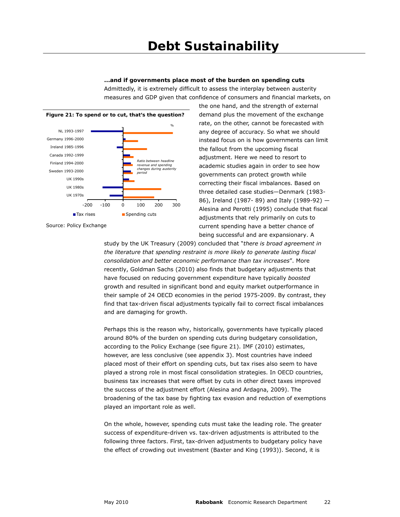**...and if governments place most of the burden on spending cuts**  Admittedly, it is extremely difficult to assess the interplay between austerity measures and GDP given that confidence of consumers and financial markets, on



the one hand, and the strength of external demand plus the movement of the exchange rate, on the other, cannot be forecasted with any degree of accuracy. So what we should instead focus on is how governments can limit the fallout from the upcoming fiscal adjustment. Here we need to resort to academic studies again in order to see how governments can protect growth while correcting their fiscal imbalances. Based on three detailed case studies—Denmark (1983- 86), Ireland (1987- 89) and Italy (1989-92) — Alesina and Perotti (1995) conclude that fiscal adjustments that rely primarily on cuts to current spending have a better chance of being successful and are expansionary. A

study by the UK Treasury (2009) concluded that "*there is broad agreement in the literature that spending restraint is more likely to generate lasting fiscal consolidation and better economic performance than tax increases*". More recently, Goldman Sachs (2010) also finds that budgetary adjustments that have focused on reducing government expenditure have typically *boosted* growth and resulted in significant bond and equity market outperformance in their sample of 24 OECD economies in the period 1975-2009. By contrast, they find that tax-driven fiscal adjustments typically fail to correct fiscal imbalances and are damaging for growth.

Perhaps this is the reason why, historically, governments have typically placed around 80% of the burden on spending cuts during budgetary consolidation, according to the Policy Exchange (see figure 21). IMF (2010) estimates, however, are less conclusive (see appendix 3). Most countries have indeed placed most of their effort on spending cuts, but tax rises also seem to have played a strong role in most fiscal consolidation strategies. In OECD countries, business tax increases that were offset by cuts in other direct taxes improved the success of the adjustment effort (Alesina and Ardagna, 2009). The broadening of the tax base by fighting tax evasion and reduction of exemptions played an important role as well.

On the whole, however, spending cuts must take the leading role. The greater success of expenditure-driven vs. tax-driven adjustments is attributed to the following three factors. First, tax-driven adjustments to budgetary policy have the effect of crowding out investment (Baxter and King (1993)). Second, it is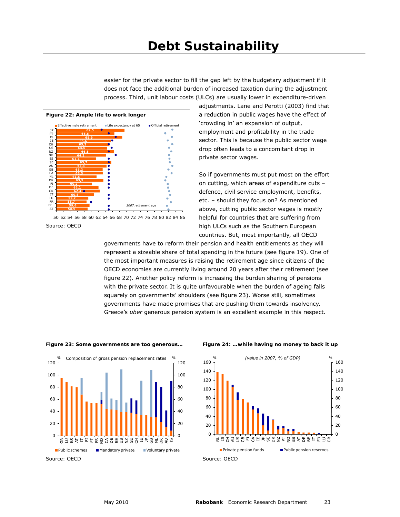easier for the private sector to fill the gap left by the budgetary adjustment if it does not face the additional burden of increased taxation during the adjustment process. Third, unit labour costs (ULCs) are usually lower in expenditure-driven







adjustments. Lane and Perotti (2003) find that a reduction in public wages have the effect of 'crowding in' an expansion of output, employment and profitability in the trade sector. This is because the public sector wage drop often leads to a concomitant drop in private sector wages.

So if governments must put most on the effort on cutting, which areas of expenditure cuts – defence, civil service employment, benefits, etc. – should they focus on? As mentioned above, cutting public sector wages is mostly helpful for countries that are suffering from high ULCs such as the Southern European countries. But, most importantly, all OECD

governments have to reform their pension and health entitlements as they will represent a sizeable share of total spending in the future (see figure 19). One of the most important measures is raising the retirement age since citizens of the OECD economies are currently living around 20 years after their retirement (see figure 22). Another policy reform is increasing the burden sharing of pensions with the private sector. It is quite unfavourable when the burden of ageing falls squarely on governments' shoulders (see figure 23). Worse still, sometimes governments have made promises that are pushing them towards insolvency. Greece's *uber* generous pension system is an excellent example in this respect.





**Figure 23: Some governments are too generous… Figure 24: …while having no money to back it up** 

Source: OECD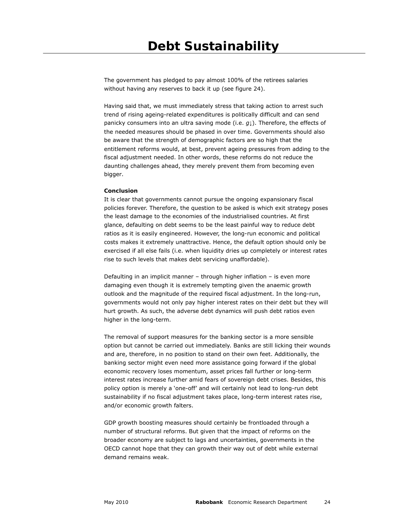The government has pledged to pay almost 100% of the retirees salaries without having any reserves to back it up (see figure 24).

Having said that, we must immediately stress that taking action to arrest such trend of rising ageing-related expenditures is politically difficult and can send panicky consumers into an ultra saving mode (i.e. *g*↓). Therefore, the effects of the needed measures should be phased in over time. Governments should also be aware that the strength of demographic factors are so high that the entitlement reforms would, at best, prevent ageing pressures from adding to the fiscal adjustment needed. In other words, these reforms do not reduce the daunting challenges ahead, they merely prevent them from becoming even bigger.

#### **Conclusion**

It is clear that governments cannot pursue the ongoing expansionary fiscal policies forever. Therefore, the question to be asked is which exit strategy poses the least damage to the economies of the industrialised countries. At first glance, defaulting on debt seems to be the least painful way to reduce debt ratios as it is easily engineered. However, the long-run economic and political costs makes it extremely unattractive. Hence, the default option should only be exercised if all else fails (i.e. when liquidity dries up completely or interest rates rise to such levels that makes debt servicing unaffordable).

Defaulting in an implicit manner – through higher inflation – is even more damaging even though it is extremely tempting given the anaemic growth outlook and the magnitude of the required fiscal adjustment. In the long-run, governments would not only pay higher interest rates on their debt but they will hurt growth. As such, the adverse debt dynamics will push debt ratios even higher in the long-term.

The removal of support measures for the banking sector is a more sensible option but cannot be carried out immediately. Banks are still licking their wounds and are, therefore, in no position to stand on their own feet. Additionally, the banking sector might even need more assistance going forward if the global economic recovery loses momentum, asset prices fall further or long-term interest rates increase further amid fears of sovereign debt crises. Besides, this policy option is merely a 'one-off' and will certainly not lead to long-run debt sustainability if no fiscal adjustment takes place, long-term interest rates rise, and/or economic growth falters.

GDP growth boosting measures should certainly be frontloaded through a number of structural reforms. But given that the impact of reforms on the broader economy are subject to lags and uncertainties, governments in the OECD cannot hope that they can growth their way out of debt while external demand remains weak.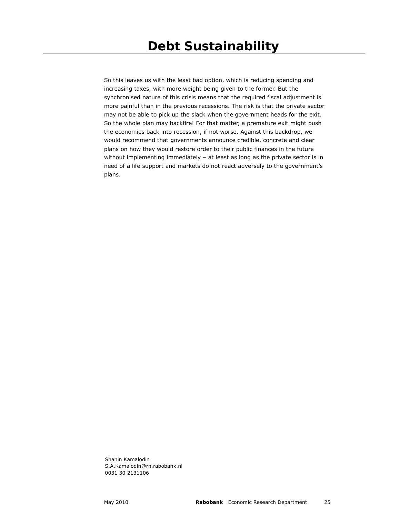So this leaves us with the least bad option, which is reducing spending and increasing taxes, with more weight being given to the former. But the synchronised nature of this crisis means that the required fiscal adjustment is more painful than in the previous recessions. The risk is that the private sector may not be able to pick up the slack when the government heads for the exit. So the whole plan may backfire! For that matter, a premature exit might push the economies back into recession, if not worse. Against this backdrop, we would recommend that governments announce credible, concrete and clear plans on how they would restore order to their public finances in the future without implementing immediately – at least as long as the private sector is in need of a life support and markets do not react adversely to the government's plans.

Shahin Kamalodin S.A.Kamalodin@rn.rabobank.nl 0031 30 2131106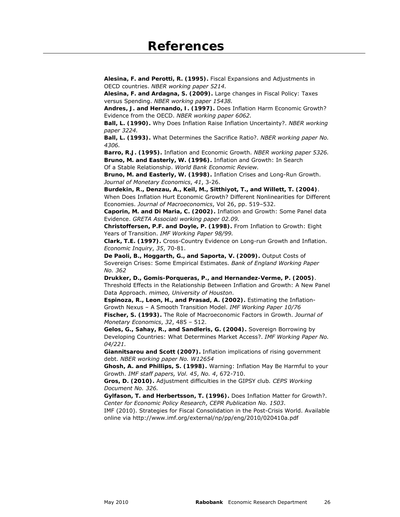**Alesina, F. and Perotti, R. (1995).** Fiscal Expansions and Adjustments in OECD countries. *NBER working paper 5214.*

**Alesina, F. and Ardagna, S. (2009).** Large changes in Fiscal Policy: Taxes versus Spending. *NBER working paper 15438.*

**Andres, J. and Hernando, I. (1997).** Does Inflation Harm Economic Growth? Evidence from the OECD. *NBER working paper 6062.*

**Ball, L. (1990).** Why Does Inflation Raise Inflation Uncertainty?. *NBER working paper 3224.* 

**Ball, L. (1993).** What Determines the Sacrifice Ratio?. *NBER working paper No. 4306.* 

**Barro, R.J. (1995).** Inflation and Economic Growth. *NBER working paper 5326.*  **Bruno, M. and Easterly, W. (1996).** Inflation and Growth: In Search Of a Stable Relationship. *World Bank Economic Review.* 

**Bruno, M. and Easterly, W. (1998).** Inflation Crises and Long-Run Growth. *Journal of Monetary Economics*, *41*, 3-26.

**Burdekin, R., Denzau, A., Keil, M., Sitthiyot, T., and Willett, T. (2004)**. When Does Inflation Hurt Economic Growth? Different Nonlinearities for Different Economies. *Journal of Macroeconomics*, Vol 26, pp. 519–532.

**Caporin, M. and Di Maria, C. (2002).** Inflation and Growth: Some Panel data Evidence. *GRETA Associati working paper 02.09.* 

**Christoffersen, P.F. and Doyle, P. (1998).** From Inflation to Growth: Eight Years of Transition. *IMF Working Paper 98/99.* 

**Clark, T.E. (1997).** Cross-Country Evidence on Long-run Growth and Inflation. *Economic Inquiry*, *35*, 70-81.

**De Paoli, B., Hoggarth, G., and Saporta, V. (2009).** Output Costs of Sovereign Crises: Some Empirical Estimates. *Bank of England Working Paper No. 362* 

**Drukker, D., Gomis-Porqueras, P., and Hernandez-Verme, P. (2005)**. Threshold Effects in the Relationship Between Inflation and Growth: A New Panel Data Approach. *mimeo, University of Houston*.

**Espinoza, R., Leon, H., and Prasad, A. (2002).** Estimating the Inflation-Growth Nexus – A Smooth Transition Model. *IMF Working Paper 10/76* **Fischer, S. (1993).** The Role of Macroeconomic Factors in Growth. *Journal of Monetary Economics*, *32*, 485 – 512.

**Gelos, G., Sahay, R., and Sandleris, G. (2004).** Sovereign Borrowing by Developing Countries: What Determines Market Access?. *IMF Working Paper No. 04/221.* 

**Giannitsarou and Scott (2007).** Inflation implications of rising government debt. *NBER working paper No. W12654* 

**Ghosh, A. and Phillips, S. (1998).** Warning: Inflation May Be Harmful to your Growth. *IMF staff papers, Vol. 45*, *No. 4*, 672-710.

**Gros, D. (2010).** Adjustment difficulties in the GIPSY club*. CEPS Working Document No. 326.* 

**Gylfason, T. and Herbertsson, T. (1996).** Does Inflation Matter for Growth?. *Center for Economic Policy Research*, *CEPR Publication No. 1503*.

IMF (2010). Strategies for Fiscal Consolidation in the Post-Crisis World. Available online via http://www.imf.org/external/np/pp/eng/2010/020410a.pdf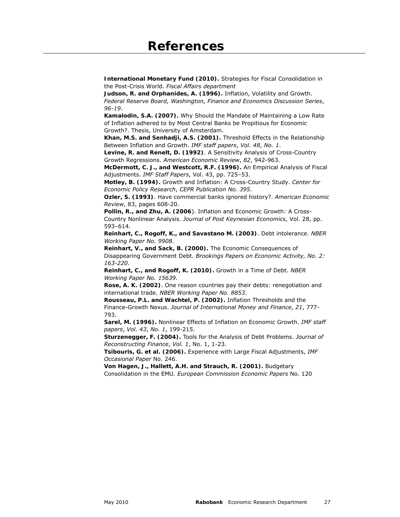**International Monetary Fund (2010).** Strategies for Fiscal Consolidation in the Post-Crisis World. *Fiscal Affairs department*

**Judson, R. and Orphanides, A. (1996).** Inflation, Volatility and Growth. *Federal Reserve Board, Washington, Finance and Economics Discussion Series*, *96-19*.

**Kamalodin, S.A. (2007).** Why Should the Mandate of Maintaining a Low Rate of Inflation adhered to by Most Central Banks be Propitious for Economic Growth?. Thesis, University of Amsterdam.

**Khan, M.S. and Senhadji, A.S. (2001).** Threshold Effects in the Relationship Between Inflation and Growth. *IMF staff papers*, *Vol. 48*, *No. 1*.

**Levine, R. and Renelt, D. (1992)**. A Sensitivity Analysis of Cross-Country Growth Regressions. *American Economic Review*, *82*, 942-963.

**McDermott, C. J., and Westcott, R.F. (1996).** An Empirical Analysis of Fiscal Adjustments. *IMF Staff Papers*, Vol. 43, pp. 725–53.

**Motley, B. (1994).** Growth and Inflation: A Cross-Country Study. *Center for Economic Policy Research*, *CEPR Publication No. 395*.

**Ozler, S. (1993)**. Have commercial banks ignored history?. *American Economic Review*, 83, pages 608-20.

**Pollin, R., and Zhu, A. (2006**). Inflation and Economic Growth: A Cross-Country Nonlinear Analysis. *Journal of Post Keynesian Economics*, Vol. 28, pp. 593–614.

**Reinhart, C., Rogoff, K., and Savastano M. (2003)**. Debt intolerance. *NBER Working Paper No. 9908.* 

**Reinhart, V., and Sack, B. (2000).** The Economic Consequences of Disappearing Government Debt. *Brookings Papers on Economic Activity, No. 2: 163-220*.

**Reinhart, C., and Rogoff, K. (2010).** Growth in a Time of Debt. *NBER Working Paper No. 15639*.

**Rose, A. K. (2002)**. One reason countries pay their debts: renegotiation and international trade. *NBER Working Paper No. 8853*.

**Rousseau, P.L. and Wachtel, P. (2002).** Inflation Thresholds and the Finance-Growth Nexus. *Journal of International Money and Finance*, *21*, 777- 793.

**Sarel, M. (1996).** Nonlinear Effects of Inflation on Economic Growth. *IMF staff papers*, *Vol. 43*, *No. 1*, 199-215.

**Sturzenegger, F. (2004).** Tools for the Analysis of Debt Problems. *Journal of Reconstructing Finance*, *Vol. 1*, No. 1, 1-23.

**Tsibouris, G. et al. (2006).** Experience with Large Fiscal Adjustments, *IMF Occasional Paper* No. 246.

**Von Hagen, J., Hallett, A.H. and Strauch, R. (2001).** Budgetary Consolidation in the EMU*. European Commission Economic Papers* No. 120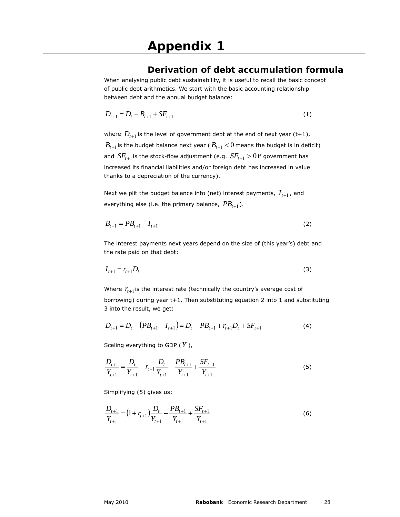### **Derivation of debt accumulation formula**

When analysing public debt sustainability, it is useful to recall the basic concept of public debt arithmetics. We start with the basic accounting relationship between debt and the annual budget balance:

$$
D_{t+1} = D_t - B_{t+1} + SF_{t+1}
$$
 (1)

where  $D_{t+1}$  is the level of government debt at the end of next year (t+1),  $B_{t+1}$  is the budget balance next year ( $B_{t+1}$  < 0 means the budget is in deficit) and  $SF_{t+1}$  is the stock-flow adjustment (e.g.  $SF_{t+1} > 0$  if government has increased its financial liabilities and/or foreign debt has increased in value thanks to a depreciation of the currency).

Next we plit the budget balance into (net) interest payments,  $I_{t+1}$ , and everything else (i.e. the primary balance,  $PB_{t+1}$ ).

$$
B_{t+1} = PB_{t+1} - I_{t+1} \tag{2}
$$

The interest payments next years depend on the size of (this year's) debt and the rate paid on that debt:

$$
I_{t+1} = r_{t+1} D_t \tag{3}
$$

Where  $r_{t+1}$  is the interest rate (technically the country's average cost of borrowing) during year t+1. Then substituting equation 2 into 1 and substituting 3 into the result, we get:

$$
D_{t+1} = D_t - (PB_{t+1} - I_{t+1}) = D_t - PB_{t+1} + r_{t+1}D_t + SF_{t+1}
$$
\n<sup>(4)</sup>

Scaling everything to GDP (*Y* ),

$$
\frac{D_{t+1}}{Y_{t+1}} = \frac{D_t}{Y_{t+1}} + r_{t+1} \frac{D_t}{Y_{t+1}} - \frac{PB_{t+1}}{Y_{t+1}} + \frac{SF_{t+1}}{Y_{t+1}}
$$
(5)

Simplifying (5) gives us:

$$
\frac{D_{t+1}}{Y_{t+1}} = \left(1 + r_{t+1}\right) \frac{D_t}{Y_{t+1}} - \frac{PB_{t+1}}{Y_{t+1}} + \frac{SF_{t+1}}{Y_{t+1}}\tag{6}
$$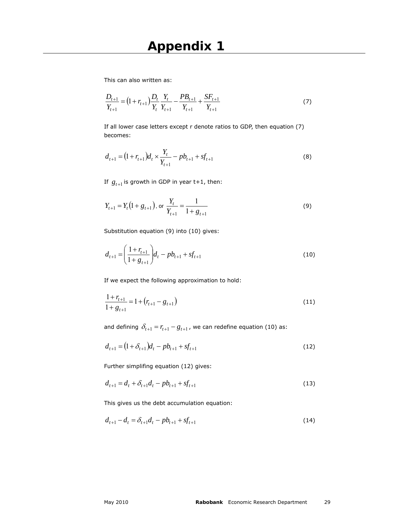This can also written as:

$$
\frac{D_{t+1}}{Y_{t+1}} = \left(1 + r_{t+1}\right) \frac{D_t}{Y_t} \frac{Y_t}{Y_{t+1}} - \frac{PB_{t+1}}{Y_{t+1}} + \frac{SF_{t+1}}{Y_{t+1}} \tag{7}
$$

If all lower case letters except r denote ratios to GDP, then equation (7) becomes:

$$
d_{t+1} = (1 + r_{t+1})d_t \times \frac{Y_t}{Y_{t+1}} - pb_{t+1} + sf_{t+1}
$$
\n(8)

If  $g_{t+1}$  is growth in GDP in year  $t+1$ , then:

$$
Y_{t+1} = Y_t \left( 1 + g_{t+1} \right), \text{ or } \frac{Y_t}{Y_{t+1}} = \frac{1}{1 + g_{t+1}} \tag{9}
$$

Substitution equation (9) into (10) gives:

$$
d_{t+1} = \left(\frac{1+r_{t+1}}{1+g_{t+1}}\right) d_t - pb_{t+1} + sf_{t+1}
$$
\n(10)

If we expect the following approximation to hold:

$$
\frac{1+r_{t+1}}{1+g_{t+1}} = 1 + (r_{t+1} - g_{t+1})
$$
\n(11)

and defining  $\delta_{t+1} = r_{t+1} - g_{t+1}$ , we can redefine equation (10) as:

$$
d_{t+1} = (1 + \delta_{t+1})d_t - pb_{t+1} + sf_{t+1}
$$
\n(12)

Further simplifing equation (12) gives:

$$
d_{t+1} = d_t + \delta_{t+1}d_t - pb_{t+1} + sf_{t+1}
$$
\n(13)

This gives us the debt accumulation equation:

$$
d_{t+1} - d_t = \delta_{t+1} d_t - pb_{t+1} + sf_{t+1}
$$
\n(14)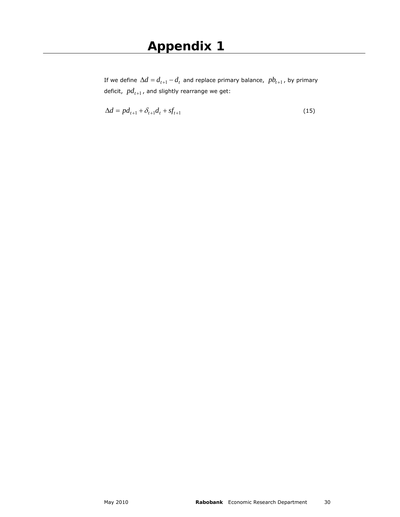If we define  $\Delta d = d_{t+1} - d_t$  and replace primary balance,  $pb_{t+1}$ , by primary deficit,  $pd_{t+1}$ , and slightly rearrange we get:

$$
\Delta d = p d_{t+1} + \delta_{t+1} d_t + s f_{t+1} \tag{15}
$$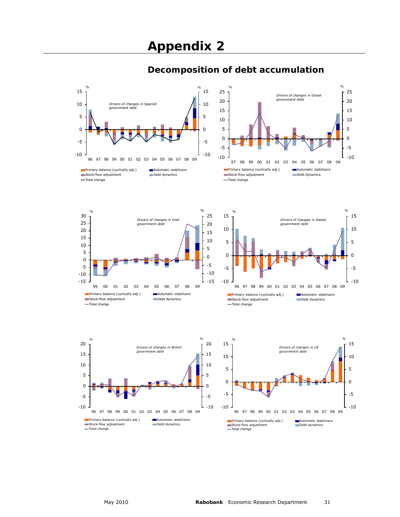

### **Decomposition of debt accumulation**

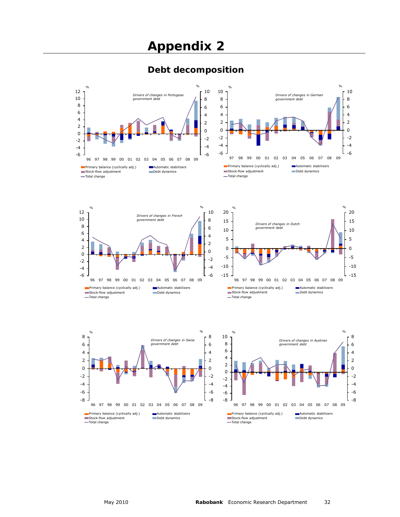### **Debt decomposition**



Primary balance (cyclically adj.) Automatic stabilizers Stock-flow adjustment Debt dynamics Total change

Stock-flow adjustment Debt dynamics Total change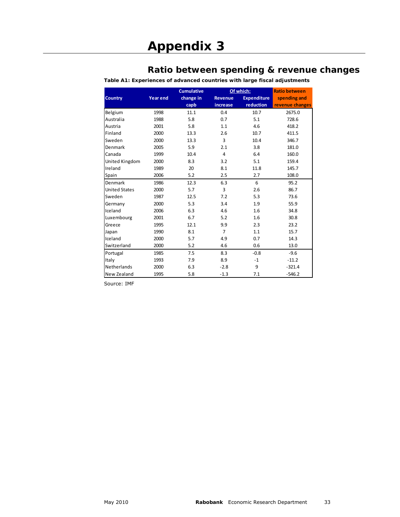### **Ratio between spending & revenue changes**

**Table A1: Experiences of advanced countries with large fiscal adjustments** 

|                      |                 | <b>Cumulative</b> |                | Of which:          | <b>Ratio between</b> |
|----------------------|-----------------|-------------------|----------------|--------------------|----------------------|
| <b>Country</b>       | <b>Year end</b> | change in         | <b>Revenue</b> | <b>Expenditure</b> | spending and         |
|                      |                 | capb              | increase       | reduction          | revenue changes      |
| Belgium              | 1998            | 11.1              | 0.4            | 10.7               | 2675.0               |
| Australia            | 1988            | 5.8               | 0.7            | 5.1                | 728.6                |
| Austria              | 2001            | 5.8               | 1.1            | 4.6                | 418.2                |
| Finland              | 2000            | 13.3              | 2.6            | 10.7               | 411.5                |
| Sweden               | 2000            | 13.3              | 3              | 10.4               | 346.7                |
| Denmark              | 2005            | 5.9               | 2.1            | 3.8                | 181.0                |
| Canada               | 1999            | 10.4              | 4              | 6.4                | 160.0                |
| United Kingdom       | 2000            | 8.3               | 3.2            | 5.1                | 159.4                |
| Ireland              | 1989            | 20                | 8.1            | 11.8               | 145.7                |
| Spain                | 2006            | 5.2               | 2.5            | 2.7                | 108.0                |
| Denmark              | 1986            | 12.3              | 6.3            | 6                  | 95.2                 |
| <b>United States</b> | 2000            | 5.7               | 3              | 2.6                | 86.7                 |
| Sweden               | 1987            | 12.5              | 7.2            | 5.3                | 73.6                 |
| Germany              | 2000            | 5.3               | 3.4            | 1.9                | 55.9                 |
| Iceland              | 2006            | 6.3               | 4.6            | 1.6                | 34.8                 |
| Luxembourg           | 2001            | 6.7               | 5.2            | 1.6                | 30.8                 |
| Greece               | 1995            | 12.1              | 9.9            | 2.3                | 23.2                 |
| Japan                | 1990            | 8.1               | $\overline{7}$ | 1.1                | 15.7                 |
| Iceland              | 2000            | 5.7               | 4.9            | 0.7                | 14.3                 |
| Switzerland          | 2000            | 5.2               | 4.6            | 0.6                | 13.0                 |
| Portugal             | 1985            | 7.5               | 8.3            | $-0.8$             | $-9.6$               |
| Italy                | 1993            | 7.9               | 8.9            | $-1$               | $-11.2$              |
| <b>Netherlands</b>   | 2000            | 6.3               | $-2.8$         | 9                  | $-321.4$             |
| New Zealand          | 1995            | 5.8               | $-1.3$         | 7.1                | $-546.2$             |

Source: IMF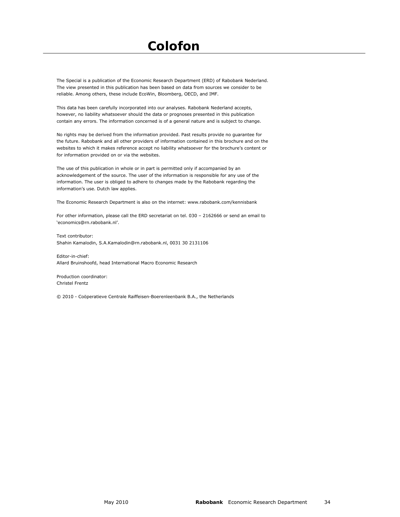# **Colofon**

The Special is a publication of the Economic Research Department (ERD) of Rabobank Nederland. The view presented in this publication has been based on data from sources we consider to be reliable. Among others, these include EcoWin, Bloomberg, OECD, and IMF.

This data has been carefully incorporated into our analyses. Rabobank Nederland accepts, however, no liability whatsoever should the data or prognoses presented in this publication contain any errors. The information concerned is of a general nature and is subject to change.

No rights may be derived from the information provided. Past results provide no guarantee for the future. Rabobank and all other providers of information contained in this brochure and on the websites to which it makes reference accept no liability whatsoever for the brochure's content or for information provided on or via the websites.

The use of this publication in whole or in part is permitted only if accompanied by an acknowledgement of the source. The user of the information is responsible for any use of the information. The user is obliged to adhere to changes made by the Rabobank regarding the information's use. Dutch law applies.

The Economic Research Department is also on the internet: www.rabobank.com/kennisbank

For other information, please call the ERD secretariat on tel. 030 – 2162666 or send an email to 'economics@rn.rabobank.nl'.

Text contributor: Shahin Kamalodin, S.A.Kamalodin@rn.rabobank.nl, 0031 30 2131106

Editor-in-chief: Allard Bruinshoofd, head International Macro Economic Research

Production coordinator: Christel Frentz

© 2010 - Coöperatieve Centrale Raiffeisen-Boerenleenbank B.A., the Netherlands